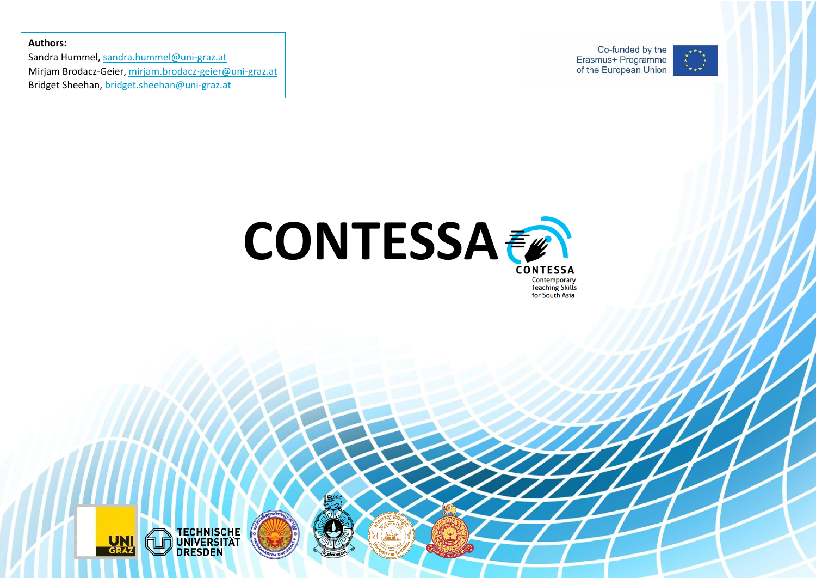**Authors:**

Sandra Hummel, [sandra.hummel@uni-graz.at](mailto:sandra.hummel@uni-graz.at) Mirjam Brodacz-Geier[, mirjam.brodacz-geier@uni-graz.at](mailto:mirjam.brodacz-geier@uni-graz.at) Bridget Sheehan, [bridget.sheehan@uni-graz.at](mailto:bridget.sheehan@uni-graz.at)

Co-funded by the Erasmus+ Programme of the European Union





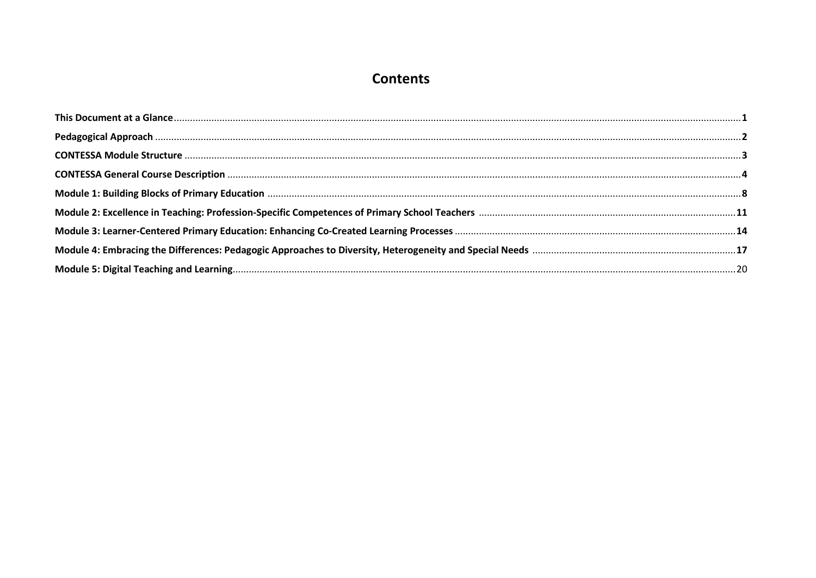# **Contents**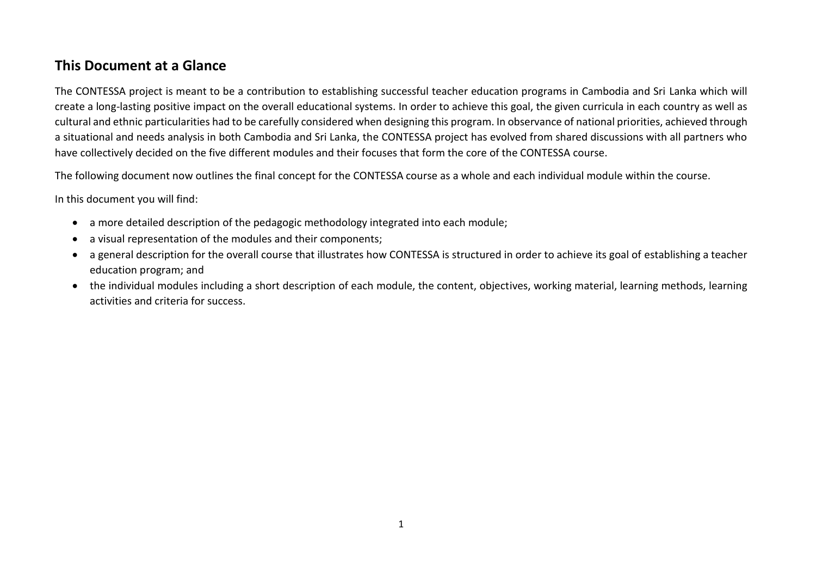## **This Document at a Glance**

The CONTESSA project is meant to be a contribution to establishing successful teacher education programs in Cambodia and Sri Lanka which will create a long-lasting positive impact on the overall educational systems. In order to achieve this goal, the given curricula in each country as well as cultural and ethnic particularities had to be carefully considered when designing this program. In observance of national priorities, achieved through a situational and needs analysis in both Cambodia and Sri Lanka, the CONTESSA project has evolved from shared discussions with all partners who have collectively decided on the five different modules and their focuses that form the core of the CONTESSA course.

The following document now outlines the final concept for the CONTESSA course as a whole and each individual module within the course.

In this document you will find:

- a more detailed description of the pedagogic methodology integrated into each module;
- a visual representation of the modules and their components;
- a general description for the overall course that illustrates how CONTESSA is structured in order to achieve its goal of establishing a teacher education program; and
- the individual modules including a short description of each module, the content, objectives, working material, learning methods, learning activities and criteria for success.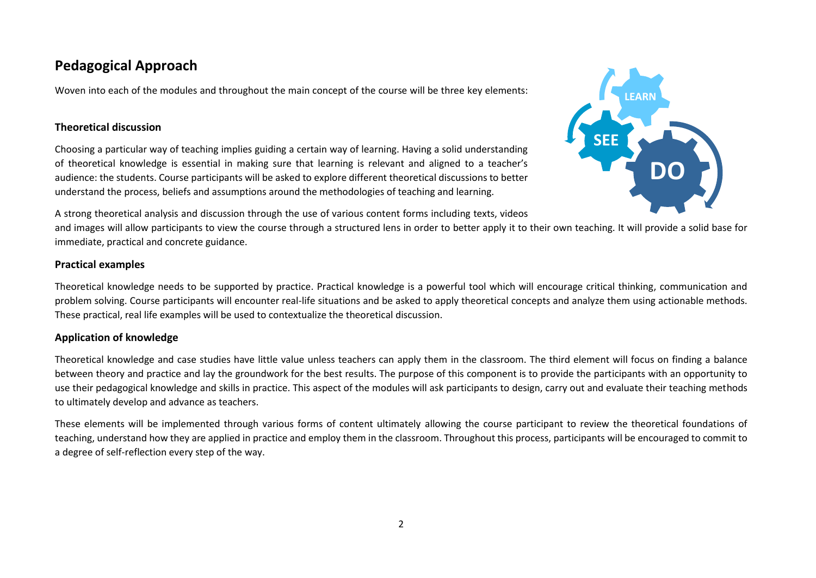## **Pedagogical Approach**

Woven into each of the modules and throughout the main concept of the course will be three key elements:

#### **Theoretical discussion**

Choosing a particular way of teaching implies guiding a certain way of learning. Having a solid understanding of theoretical knowledge is essential in making sure that learning is relevant and aligned to a teacher's audience: the students. Course participants will be asked to explore different theoretical discussions to better understand the process, beliefs and assumptions around the methodologies of teaching and learning.



A strong theoretical analysis and discussion through the use of various content forms including texts, videos

and images will allow participants to view the course through a structured lens in order to better apply it to their own teaching. It will provide a solid base for immediate, practical and concrete guidance.

#### **Practical examples**

Theoretical knowledge needs to be supported by practice. Practical knowledge is a powerful tool which will encourage critical thinking, communication and problem solving. Course participants will encounter real-life situations and be asked to apply theoretical concepts and analyze them using actionable methods. These practical, real life examples will be used to contextualize the theoretical discussion.

### **Application of knowledge**

Theoretical knowledge and case studies have little value unless teachers can apply them in the classroom. The third element will focus on finding a balance between theory and practice and lay the groundwork for the best results. The purpose of this component is to provide the participants with an opportunity to use their pedagogical knowledge and skills in practice. This aspect of the modules will ask participants to design, carry out and evaluate their teaching methods to ultimately develop and advance as teachers.

These elements will be implemented through various forms of content ultimately allowing the course participant to review the theoretical foundations of teaching, understand how they are applied in practice and employ them in the classroom. Throughout this process, participants will be encouraged to commit to a degree of self-reflection every step of the way.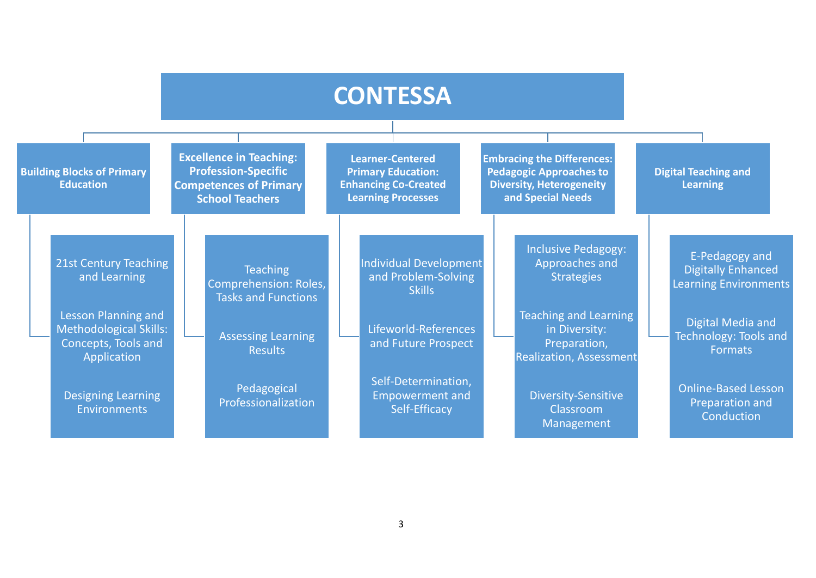|                                                                                            |                                                                                                                         | <b>CONTESSA</b>                                                                                                  |                                                                                                                             |                                                                             |  |
|--------------------------------------------------------------------------------------------|-------------------------------------------------------------------------------------------------------------------------|------------------------------------------------------------------------------------------------------------------|-----------------------------------------------------------------------------------------------------------------------------|-----------------------------------------------------------------------------|--|
| <b>Building Blocks of Primary</b><br><b>Education</b>                                      | <b>Excellence in Teaching:</b><br><b>Profession-Specific</b><br><b>Competences of Primary</b><br><b>School Teachers</b> | <b>Learner-Centered</b><br><b>Primary Education:</b><br><b>Enhancing Co-Created</b><br><b>Learning Processes</b> | <b>Embracing the Differences:</b><br><b>Pedagogic Approaches to</b><br><b>Diversity, Heterogeneity</b><br>and Special Needs | <b>Digital Teaching and</b><br><b>Learning</b>                              |  |
| 21st Century Teaching<br>and Learning                                                      | <b>Teaching</b><br><b>Comprehension: Roles,</b><br><b>Tasks and Functions</b>                                           | Individual Development<br>and Problem-Solving<br><b>Skills</b>                                                   | <b>Inclusive Pedagogy:</b><br>Approaches and<br><b>Strategies</b>                                                           | E-Pedagogy and<br><b>Digitally Enhanced</b><br><b>Learning Environments</b> |  |
| Lesson Planning and<br><b>Methodological Skills:</b><br>Concepts, Tools and<br>Application | <b>Assessing Learning</b><br><b>Results</b>                                                                             | Lifeworld-References<br>and Future Prospect                                                                      | <b>Teaching and Learning</b><br>in Diversity:<br>Preparation,<br><b>Realization, Assessment</b>                             | Digital Media and<br>Technology: Tools and<br><b>Formats</b>                |  |
| <b>Designing Learning</b><br><b>Environments</b>                                           | Pedagogical<br>Professionalization                                                                                      | Self-Determination,<br><b>Empowerment and</b><br>Self-Efficacy                                                   | Diversity-Sensitive<br>Classroom<br>Management                                                                              | <b>Online-Based Lesson</b><br>Preparation and<br>Conduction                 |  |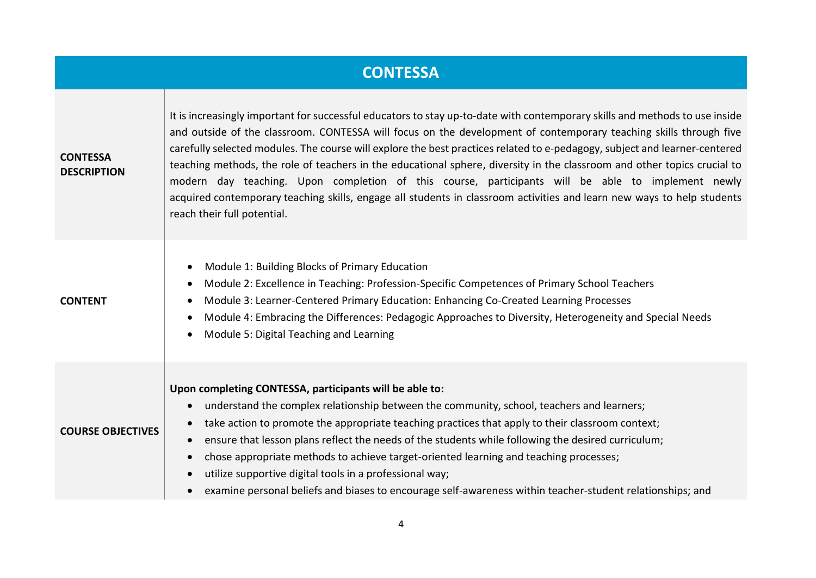|                                       | <b>CONTESSA</b>                                                                                                                                                                                                                                                                                                                                                                                                                                                                                                                                                                                                                                                                                                                                                          |
|---------------------------------------|--------------------------------------------------------------------------------------------------------------------------------------------------------------------------------------------------------------------------------------------------------------------------------------------------------------------------------------------------------------------------------------------------------------------------------------------------------------------------------------------------------------------------------------------------------------------------------------------------------------------------------------------------------------------------------------------------------------------------------------------------------------------------|
| <b>CONTESSA</b><br><b>DESCRIPTION</b> | It is increasingly important for successful educators to stay up-to-date with contemporary skills and methods to use inside<br>and outside of the classroom. CONTESSA will focus on the development of contemporary teaching skills through five<br>carefully selected modules. The course will explore the best practices related to e-pedagogy, subject and learner-centered<br>teaching methods, the role of teachers in the educational sphere, diversity in the classroom and other topics crucial to<br>modern day teaching. Upon completion of this course, participants will be able to implement newly<br>acquired contemporary teaching skills, engage all students in classroom activities and learn new ways to help students<br>reach their full potential. |
| <b>CONTENT</b>                        | Module 1: Building Blocks of Primary Education<br>$\bullet$<br>Module 2: Excellence in Teaching: Profession-Specific Competences of Primary School Teachers<br>$\bullet$<br>Module 3: Learner-Centered Primary Education: Enhancing Co-Created Learning Processes<br>$\bullet$<br>Module 4: Embracing the Differences: Pedagogic Approaches to Diversity, Heterogeneity and Special Needs<br>$\bullet$<br>Module 5: Digital Teaching and Learning<br>$\bullet$                                                                                                                                                                                                                                                                                                           |
| <b>COURSE OBJECTIVES</b>              | Upon completing CONTESSA, participants will be able to:<br>understand the complex relationship between the community, school, teachers and learners;<br>$\bullet$<br>take action to promote the appropriate teaching practices that apply to their classroom context;<br>$\bullet$<br>ensure that lesson plans reflect the needs of the students while following the desired curriculum;<br>$\bullet$<br>chose appropriate methods to achieve target-oriented learning and teaching processes;<br>utilize supportive digital tools in a professional way;<br>$\bullet$<br>examine personal beliefs and biases to encourage self-awareness within teacher-student relationships; and                                                                                      |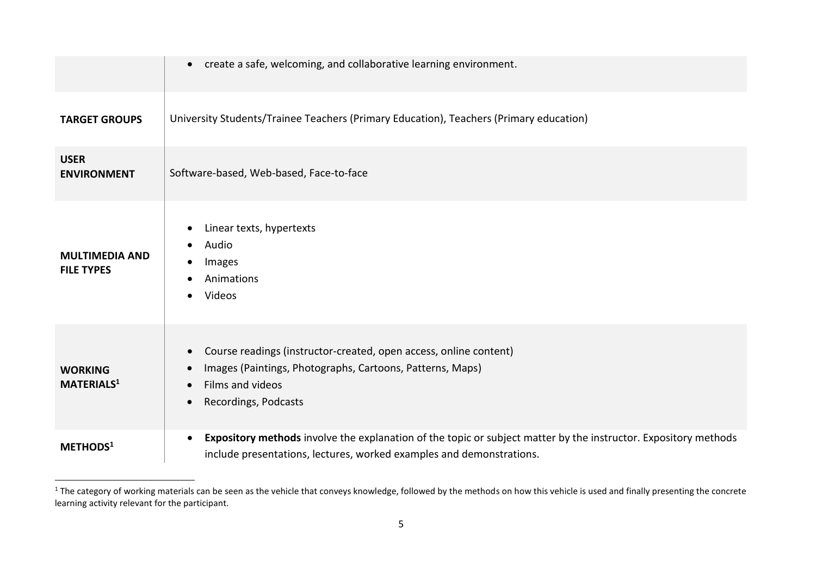|                                            | create a safe, welcoming, and collaborative learning environment.<br>$\bullet$                                                                                                                                                 |
|--------------------------------------------|--------------------------------------------------------------------------------------------------------------------------------------------------------------------------------------------------------------------------------|
| <b>TARGET GROUPS</b>                       | University Students/Trainee Teachers (Primary Education), Teachers (Primary education)                                                                                                                                         |
| <b>USER</b><br><b>ENVIRONMENT</b>          | Software-based, Web-based, Face-to-face                                                                                                                                                                                        |
| <b>MULTIMEDIA AND</b><br><b>FILE TYPES</b> | Linear texts, hypertexts<br>$\bullet$<br>Audio<br>$\bullet$<br>Images<br>Animations<br>Videos<br>$\bullet$                                                                                                                     |
| <b>WORKING</b><br><b>MATERIALS1</b>        | Course readings (instructor-created, open access, online content)<br>$\bullet$<br>Images (Paintings, Photographs, Cartoons, Patterns, Maps)<br>$\bullet$<br>Films and videos<br>$\bullet$<br>Recordings, Podcasts<br>$\bullet$ |
| METHODS <sup>1</sup>                       | Expository methods involve the explanation of the topic or subject matter by the instructor. Expository methods<br>$\bullet$<br>include presentations, lectures, worked examples and demonstrations.                           |

 $^1$  The category of working materials can be seen as the vehicle that conveys knowledge, followed by the methods on how this vehicle is used and finally presenting the concrete learning activity relevant for the participant.

 $\overline{a}$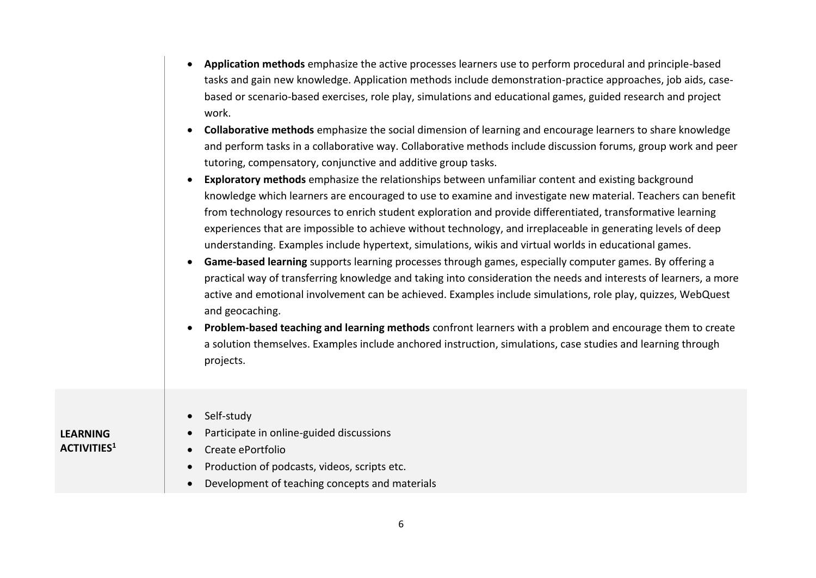| Application methods emphasize the active processes learners use to perform procedural and principle-based    |
|--------------------------------------------------------------------------------------------------------------|
| tasks and gain new knowledge. Application methods include demonstration-practice approaches, job aids, case- |
| based or scenario-based exercises, role play, simulations and educational games, guided research and project |
| work.                                                                                                        |

- **Collaborative methods** emphasize the social dimension of learning and encourage learners to share knowledge and perform tasks in a collaborative way. Collaborative methods include discussion forums, group work and peer tutoring, compensatory, conjunctive and additive group tasks.
- **Exploratory methods** emphasize the relationships between unfamiliar content and existing background knowledge which learners are encouraged to use to examine and investigate new material. Teachers can benefit from technology resources to enrich student exploration and provide differentiated, transformative learning experiences that are impossible to achieve without technology, and irreplaceable in generating levels of deep understanding. Examples include hypertext, simulations, wikis and virtual worlds in educational games.
- **Game-based learning** supports learning processes through games, especially computer games. By offering a practical way of transferring knowledge and taking into consideration the needs and interests of learners, a more active and emotional involvement can be achieved. Examples include simulations, role play, quizzes, WebQuest and geocaching.
- **Problem-based teaching and learning methods** confront learners with a problem and encourage them to create a solution themselves. Examples include anchored instruction, simulations, case studies and learning through projects.

| <b>LEARNING</b><br><b>ACTIVITIES1</b> | Self-study<br>Participate in online-guided discussions<br>Create ePortfolio |
|---------------------------------------|-----------------------------------------------------------------------------|
|                                       | Production of podcasts, videos, scripts etc.                                |
|                                       | Development of teaching concepts and materials                              |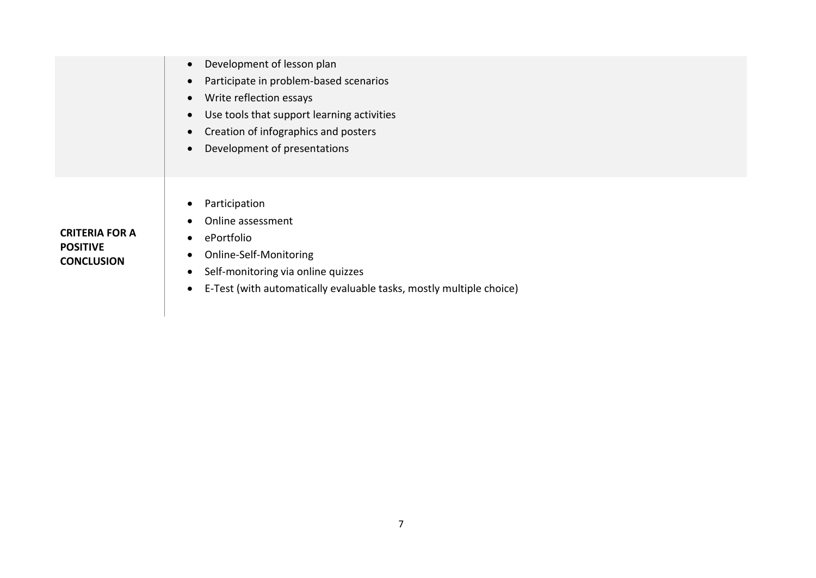|                                      | Development of lesson plan<br>$\bullet$                                          |
|--------------------------------------|----------------------------------------------------------------------------------|
|                                      | Participate in problem-based scenarios<br>$\bullet$                              |
|                                      | Write reflection essays<br>$\bullet$                                             |
|                                      | Use tools that support learning activities<br>$\bullet$                          |
|                                      | Creation of infographics and posters<br>$\bullet$                                |
|                                      | Development of presentations<br>$\bullet$                                        |
|                                      |                                                                                  |
|                                      |                                                                                  |
|                                      | Participation<br>$\bullet$                                                       |
|                                      | Online assessment                                                                |
| <b>CRITERIA FOR A</b>                | ePortfolio<br>$\bullet$                                                          |
| <b>POSITIVE</b><br><b>CONCLUSION</b> | Online-Self-Monitoring<br>$\bullet$                                              |
|                                      | Self-monitoring via online quizzes<br>$\bullet$                                  |
|                                      | E-Test (with automatically evaluable tasks, mostly multiple choice)<br>$\bullet$ |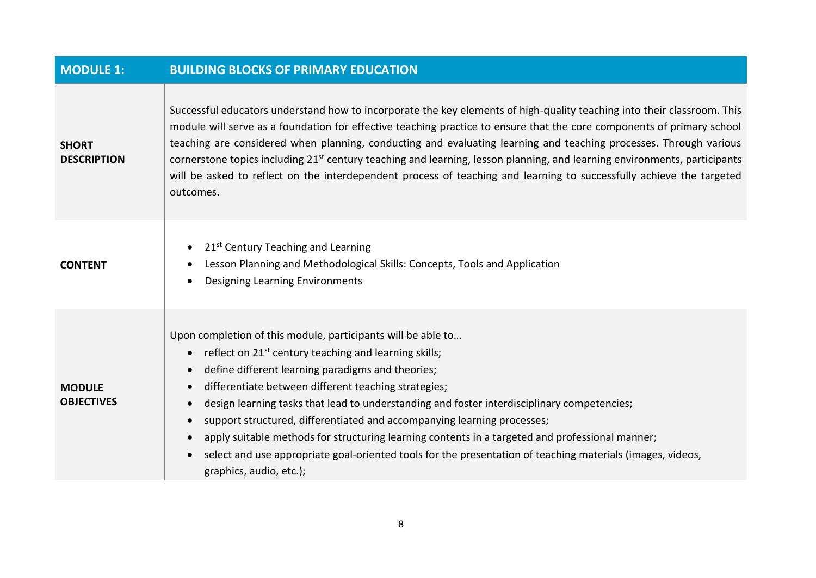| <b>MODULE 1:</b>                   | <b>BUILDING BLOCKS OF PRIMARY EDUCATION</b>                                                                                                                                                                                                                                                                                                                                                                                                                                                                                                                                                                                                                                                                                                                     |
|------------------------------------|-----------------------------------------------------------------------------------------------------------------------------------------------------------------------------------------------------------------------------------------------------------------------------------------------------------------------------------------------------------------------------------------------------------------------------------------------------------------------------------------------------------------------------------------------------------------------------------------------------------------------------------------------------------------------------------------------------------------------------------------------------------------|
| <b>SHORT</b><br><b>DESCRIPTION</b> | Successful educators understand how to incorporate the key elements of high-quality teaching into their classroom. This<br>module will serve as a foundation for effective teaching practice to ensure that the core components of primary school<br>teaching are considered when planning, conducting and evaluating learning and teaching processes. Through various<br>cornerstone topics including 21 <sup>st</sup> century teaching and learning, lesson planning, and learning environments, participants<br>will be asked to reflect on the interdependent process of teaching and learning to successfully achieve the targeted<br>outcomes.                                                                                                            |
| <b>CONTENT</b>                     | 21 <sup>st</sup> Century Teaching and Learning<br>$\bullet$<br>Lesson Planning and Methodological Skills: Concepts, Tools and Application<br><b>Designing Learning Environments</b><br>$\bullet$                                                                                                                                                                                                                                                                                                                                                                                                                                                                                                                                                                |
| <b>MODULE</b><br><b>OBJECTIVES</b> | Upon completion of this module, participants will be able to<br>reflect on 21 <sup>st</sup> century teaching and learning skills;<br>$\bullet$<br>define different learning paradigms and theories;<br>$\bullet$<br>differentiate between different teaching strategies;<br>$\bullet$<br>design learning tasks that lead to understanding and foster interdisciplinary competencies;<br>$\bullet$<br>support structured, differentiated and accompanying learning processes;<br>$\bullet$<br>apply suitable methods for structuring learning contents in a targeted and professional manner;<br>$\bullet$<br>select and use appropriate goal-oriented tools for the presentation of teaching materials (images, videos,<br>$\bullet$<br>graphics, audio, etc.); |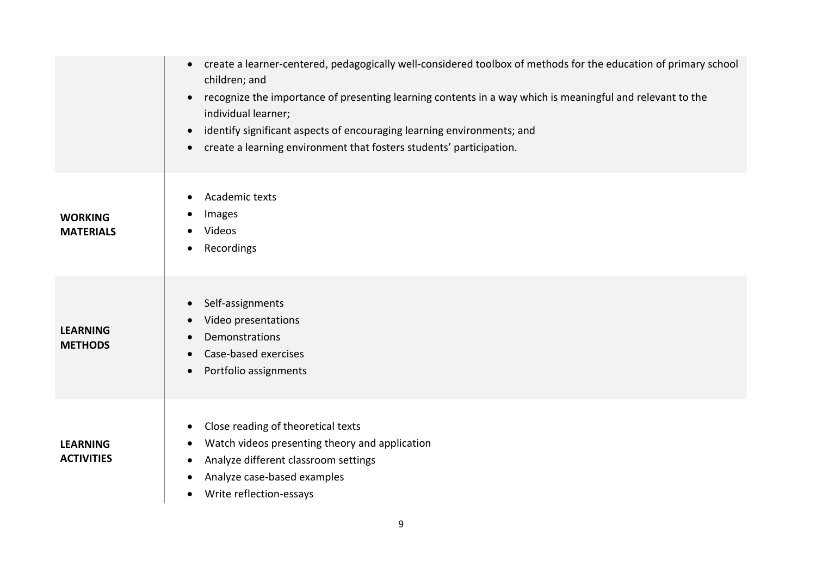|                                      | create a learner-centered, pedagogically well-considered toolbox of methods for the education of primary school<br>$\bullet$<br>children; and<br>recognize the importance of presenting learning contents in a way which is meaningful and relevant to the<br>$\bullet$<br>individual learner;<br>identify significant aspects of encouraging learning environments; and<br>$\bullet$<br>create a learning environment that fosters students' participation.<br>$\bullet$ |
|--------------------------------------|---------------------------------------------------------------------------------------------------------------------------------------------------------------------------------------------------------------------------------------------------------------------------------------------------------------------------------------------------------------------------------------------------------------------------------------------------------------------------|
| <b>WORKING</b><br><b>MATERIALS</b>   | Academic texts<br>٠<br>Images<br>Videos<br>Recordings<br>$\bullet$                                                                                                                                                                                                                                                                                                                                                                                                        |
| <b>LEARNING</b><br><b>METHODS</b>    | Self-assignments<br>$\bullet$<br>Video presentations<br>$\bullet$<br>Demonstrations<br>Case-based exercises<br>Portfolio assignments<br>$\bullet$                                                                                                                                                                                                                                                                                                                         |
| <b>LEARNING</b><br><b>ACTIVITIES</b> | Close reading of theoretical texts<br>٠<br>Watch videos presenting theory and application<br>$\bullet$<br>Analyze different classroom settings<br>Analyze case-based examples<br>٠<br>Write reflection-essays<br>٠                                                                                                                                                                                                                                                        |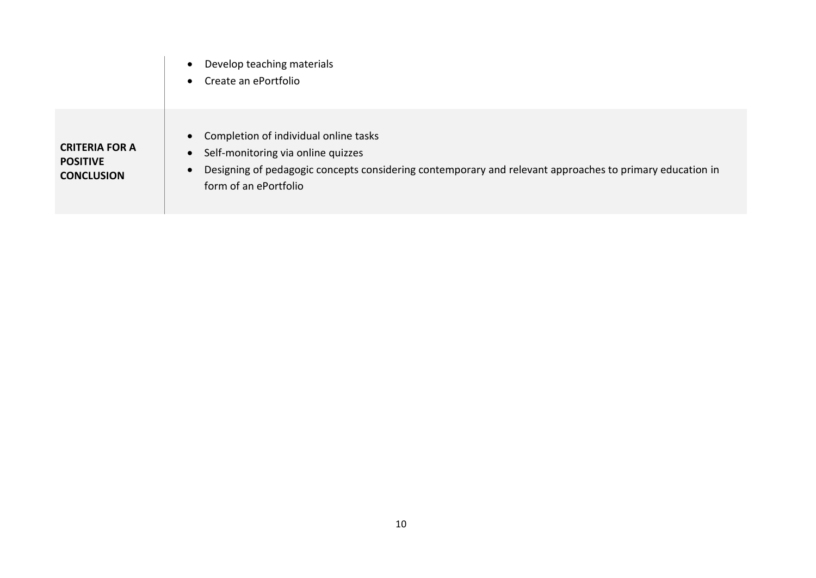|                                                               | Develop teaching materials<br>$\bullet$<br>Create an ePortfolio<br>$\bullet$                                                                                                                                                                            |
|---------------------------------------------------------------|---------------------------------------------------------------------------------------------------------------------------------------------------------------------------------------------------------------------------------------------------------|
| <b>CRITERIA FOR A</b><br><b>POSITIVE</b><br><b>CONCLUSION</b> | Completion of individual online tasks<br>$\bullet$<br>Self-monitoring via online quizzes<br>$\bullet$<br>Designing of pedagogic concepts considering contemporary and relevant approaches to primary education in<br>$\bullet$<br>form of an ePortfolio |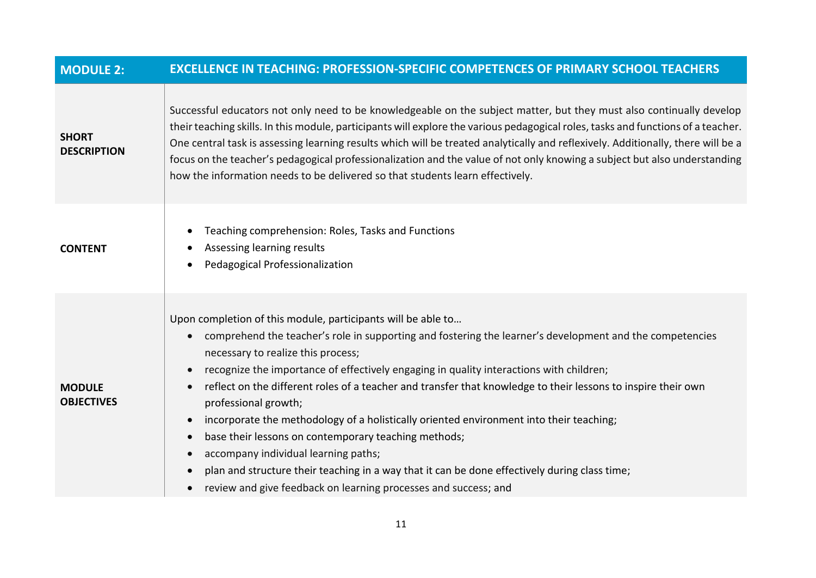| <b>MODULE 2:</b>                   | <b>EXCELLENCE IN TEACHING: PROFESSION-SPECIFIC COMPETENCES OF PRIMARY SCHOOL TEACHERS</b>                                                                                                                                                                                                                                                                                                                                                                                                                                                                                                                                                                                                                                                                                                                                                                                                                                 |
|------------------------------------|---------------------------------------------------------------------------------------------------------------------------------------------------------------------------------------------------------------------------------------------------------------------------------------------------------------------------------------------------------------------------------------------------------------------------------------------------------------------------------------------------------------------------------------------------------------------------------------------------------------------------------------------------------------------------------------------------------------------------------------------------------------------------------------------------------------------------------------------------------------------------------------------------------------------------|
| <b>SHORT</b><br><b>DESCRIPTION</b> | Successful educators not only need to be knowledgeable on the subject matter, but they must also continually develop<br>their teaching skills. In this module, participants will explore the various pedagogical roles, tasks and functions of a teacher.<br>One central task is assessing learning results which will be treated analytically and reflexively. Additionally, there will be a<br>focus on the teacher's pedagogical professionalization and the value of not only knowing a subject but also understanding<br>how the information needs to be delivered so that students learn effectively.                                                                                                                                                                                                                                                                                                               |
| <b>CONTENT</b>                     | Teaching comprehension: Roles, Tasks and Functions<br>٠<br>Assessing learning results<br>Pedagogical Professionalization<br>$\bullet$                                                                                                                                                                                                                                                                                                                                                                                                                                                                                                                                                                                                                                                                                                                                                                                     |
| <b>MODULE</b><br><b>OBJECTIVES</b> | Upon completion of this module, participants will be able to<br>comprehend the teacher's role in supporting and fostering the learner's development and the competencies<br>$\bullet$<br>necessary to realize this process;<br>recognize the importance of effectively engaging in quality interactions with children;<br>$\bullet$<br>reflect on the different roles of a teacher and transfer that knowledge to their lessons to inspire their own<br>$\bullet$<br>professional growth;<br>incorporate the methodology of a holistically oriented environment into their teaching;<br>$\bullet$<br>base their lessons on contemporary teaching methods;<br>$\bullet$<br>accompany individual learning paths;<br>$\bullet$<br>plan and structure their teaching in a way that it can be done effectively during class time;<br>$\bullet$<br>review and give feedback on learning processes and success; and<br>$\bullet$ |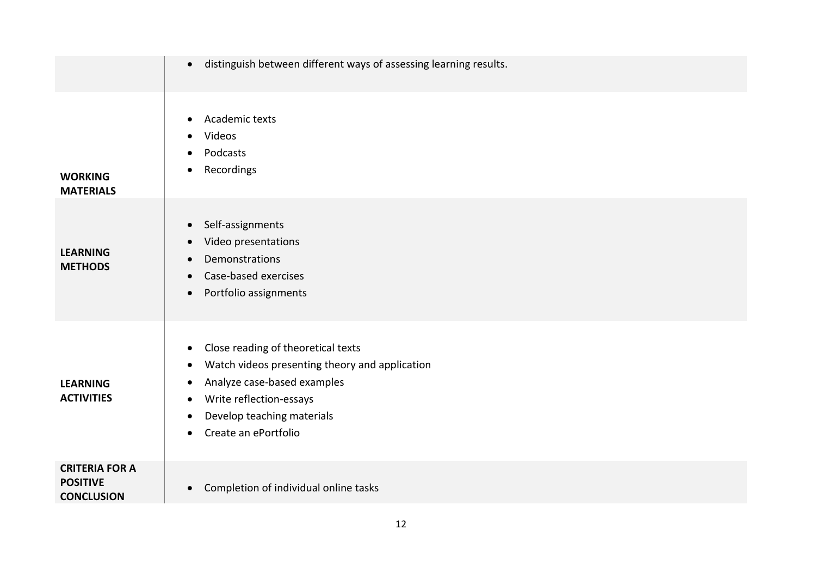|                                                               | distinguish between different ways of assessing learning results.<br>$\bullet$                                                                                                                                                                                             |
|---------------------------------------------------------------|----------------------------------------------------------------------------------------------------------------------------------------------------------------------------------------------------------------------------------------------------------------------------|
| <b>WORKING</b><br><b>MATERIALS</b>                            | Academic texts<br>$\bullet$<br>Videos<br>Podcasts<br>Recordings                                                                                                                                                                                                            |
| <b>LEARNING</b><br><b>METHODS</b>                             | Self-assignments<br>$\bullet$<br>Video presentations<br>$\bullet$<br>Demonstrations<br>$\bullet$<br>Case-based exercises<br>$\bullet$<br>Portfolio assignments<br>$\bullet$                                                                                                |
| <b>LEARNING</b><br><b>ACTIVITIES</b>                          | Close reading of theoretical texts<br>$\bullet$<br>Watch videos presenting theory and application<br>$\bullet$<br>Analyze case-based examples<br>٠<br>Write reflection-essays<br>$\bullet$<br>Develop teaching materials<br>$\bullet$<br>Create an ePortfolio<br>$\bullet$ |
| <b>CRITERIA FOR A</b><br><b>POSITIVE</b><br><b>CONCLUSION</b> | Completion of individual online tasks<br>$\bullet$                                                                                                                                                                                                                         |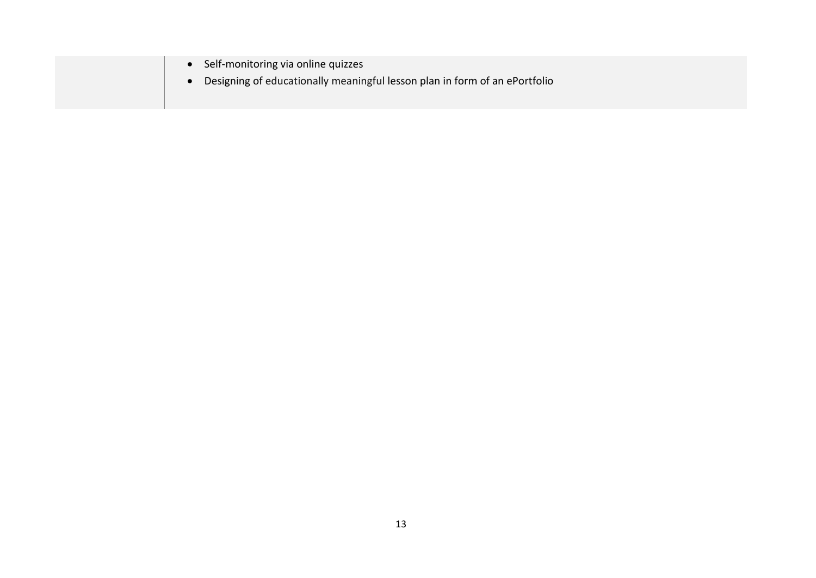| • Self-monitoring via online quizzes<br>Designing of educationally meaningful lesson plan in form of an ePortfolio |  |
|--------------------------------------------------------------------------------------------------------------------|--|
|--------------------------------------------------------------------------------------------------------------------|--|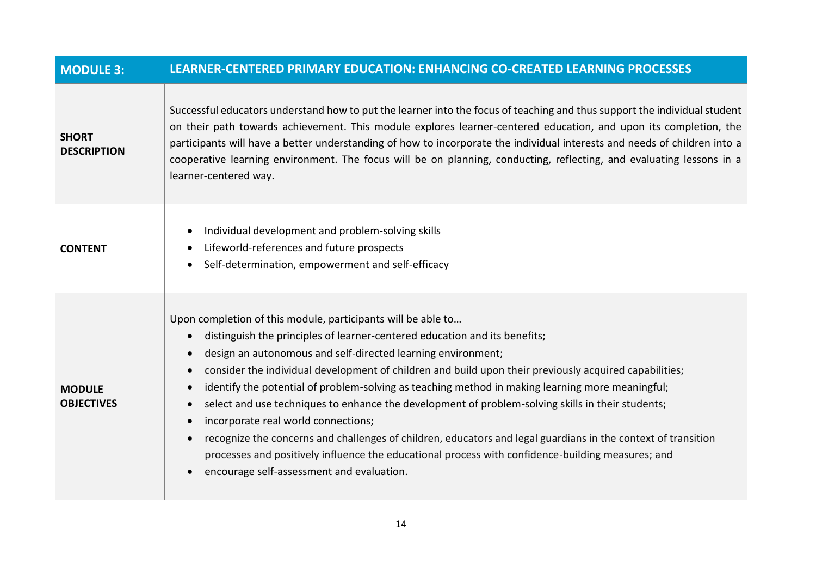| <b>MODULE 3:</b>                   | LEARNER-CENTERED PRIMARY EDUCATION: ENHANCING CO-CREATED LEARNING PROCESSES                                                                                                                                                                                                                                                                                                                                                                                                                                                                                                                                                                                                                                                                                                                                                                                                                                                             |
|------------------------------------|-----------------------------------------------------------------------------------------------------------------------------------------------------------------------------------------------------------------------------------------------------------------------------------------------------------------------------------------------------------------------------------------------------------------------------------------------------------------------------------------------------------------------------------------------------------------------------------------------------------------------------------------------------------------------------------------------------------------------------------------------------------------------------------------------------------------------------------------------------------------------------------------------------------------------------------------|
| <b>SHORT</b><br><b>DESCRIPTION</b> | Successful educators understand how to put the learner into the focus of teaching and thus support the individual student<br>on their path towards achievement. This module explores learner-centered education, and upon its completion, the<br>participants will have a better understanding of how to incorporate the individual interests and needs of children into a<br>cooperative learning environment. The focus will be on planning, conducting, reflecting, and evaluating lessons in a<br>learner-centered way.                                                                                                                                                                                                                                                                                                                                                                                                             |
| <b>CONTENT</b>                     | Individual development and problem-solving skills<br>$\bullet$<br>Lifeworld-references and future prospects<br>Self-determination, empowerment and self-efficacy<br>$\bullet$                                                                                                                                                                                                                                                                                                                                                                                                                                                                                                                                                                                                                                                                                                                                                           |
| <b>MODULE</b><br><b>OBJECTIVES</b> | Upon completion of this module, participants will be able to<br>distinguish the principles of learner-centered education and its benefits;<br>$\bullet$<br>design an autonomous and self-directed learning environment;<br>$\bullet$<br>consider the individual development of children and build upon their previously acquired capabilities;<br>0<br>identify the potential of problem-solving as teaching method in making learning more meaningful;<br>$\bullet$<br>select and use techniques to enhance the development of problem-solving skills in their students;<br>$\bullet$<br>incorporate real world connections;<br>$\bullet$<br>recognize the concerns and challenges of children, educators and legal guardians in the context of transition<br>$\bullet$<br>processes and positively influence the educational process with confidence-building measures; and<br>encourage self-assessment and evaluation.<br>$\bullet$ |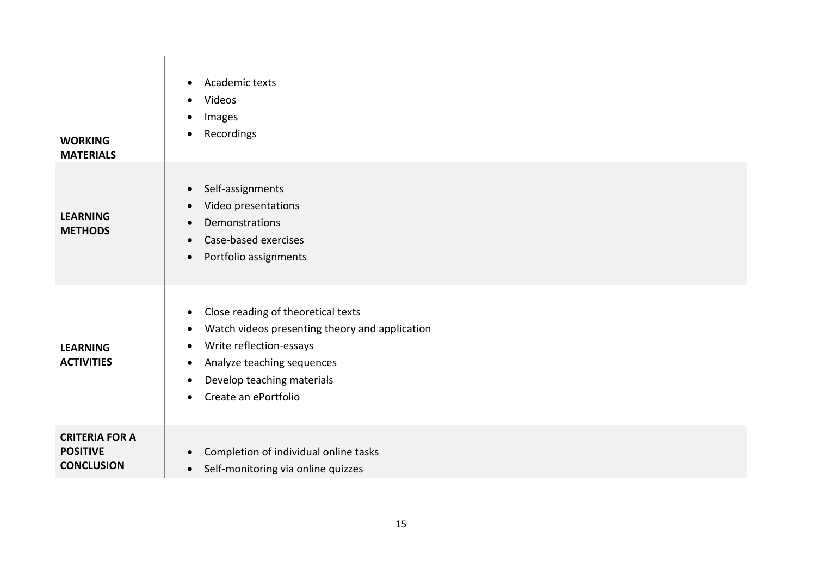| <b>WORKING</b><br><b>MATERIALS</b>                            | Academic texts<br>$\bullet$<br>Videos<br>$\bullet$<br>Images<br>$\bullet$<br>Recordings<br>$\bullet$                                                                                                                                                                      |
|---------------------------------------------------------------|---------------------------------------------------------------------------------------------------------------------------------------------------------------------------------------------------------------------------------------------------------------------------|
| <b>LEARNING</b><br><b>METHODS</b>                             | Self-assignments<br>$\bullet$<br>Video presentations<br>$\bullet$<br><b>Demonstrations</b><br>$\bullet$<br>Case-based exercises<br>$\bullet$<br>Portfolio assignments<br>$\bullet$                                                                                        |
| <b>LEARNING</b><br><b>ACTIVITIES</b>                          | Close reading of theoretical texts<br>$\bullet$<br>Watch videos presenting theory and application<br>٠<br>Write reflection-essays<br>$\bullet$<br>Analyze teaching sequences<br>$\bullet$<br>Develop teaching materials<br>$\bullet$<br>Create an ePortfolio<br>$\bullet$ |
| <b>CRITERIA FOR A</b><br><b>POSITIVE</b><br><b>CONCLUSION</b> | Completion of individual online tasks<br>$\bullet$<br>Self-monitoring via online quizzes<br>$\bullet$                                                                                                                                                                     |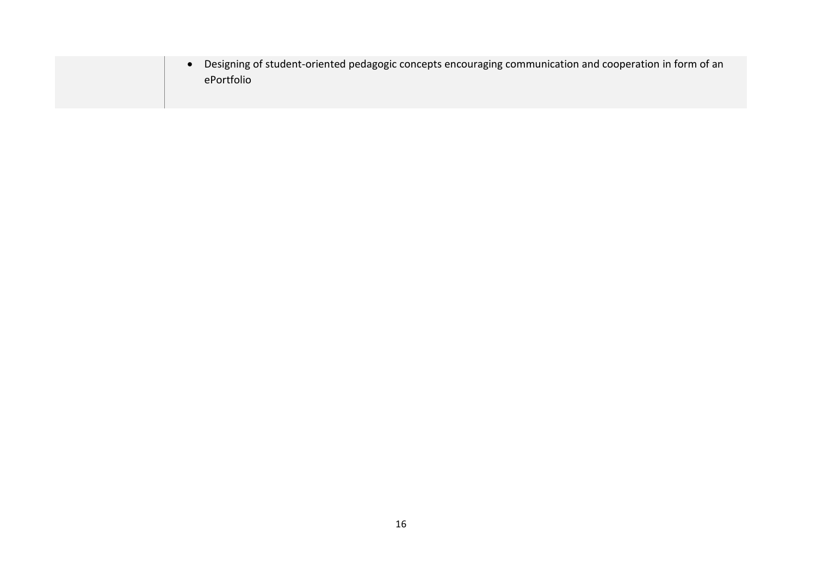| Designing of student-oriented pedagogic concepts encouraging communication and cooperation in form of an |
|----------------------------------------------------------------------------------------------------------|
| ePortfolio                                                                                               |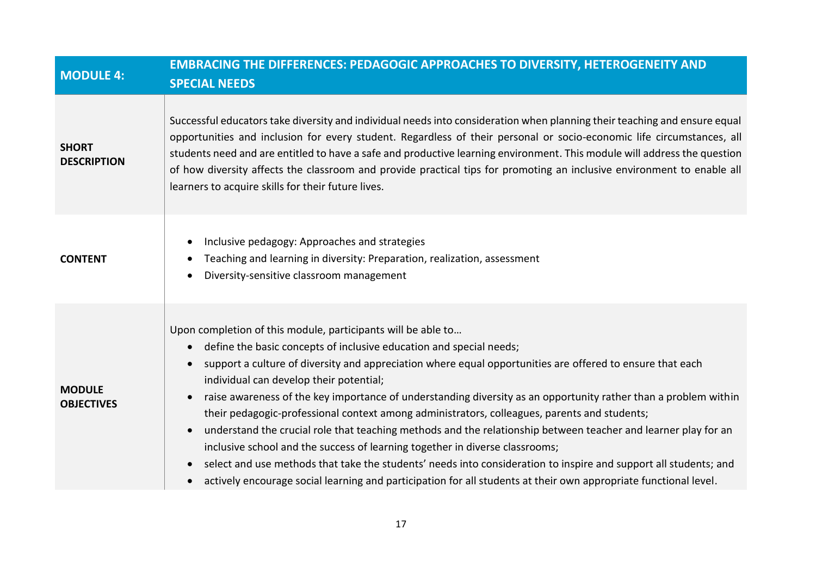| <b>MODULE 4:</b>                   | <b>EMBRACING THE DIFFERENCES: PEDAGOGIC APPROACHES TO DIVERSITY, HETEROGENEITY AND</b><br><b>SPECIAL NEEDS</b>                                                                                                                                                                                                                                                                                                                                                                                                                                                                                                                                                                                                                                                                                                                                                                                                                                                                                                            |
|------------------------------------|---------------------------------------------------------------------------------------------------------------------------------------------------------------------------------------------------------------------------------------------------------------------------------------------------------------------------------------------------------------------------------------------------------------------------------------------------------------------------------------------------------------------------------------------------------------------------------------------------------------------------------------------------------------------------------------------------------------------------------------------------------------------------------------------------------------------------------------------------------------------------------------------------------------------------------------------------------------------------------------------------------------------------|
| <b>SHORT</b><br><b>DESCRIPTION</b> | Successful educators take diversity and individual needs into consideration when planning their teaching and ensure equal<br>opportunities and inclusion for every student. Regardless of their personal or socio-economic life circumstances, all<br>students need and are entitled to have a safe and productive learning environment. This module will address the question<br>of how diversity affects the classroom and provide practical tips for promoting an inclusive environment to enable all<br>learners to acquire skills for their future lives.                                                                                                                                                                                                                                                                                                                                                                                                                                                            |
| <b>CONTENT</b>                     | Inclusive pedagogy: Approaches and strategies<br>Teaching and learning in diversity: Preparation, realization, assessment<br>Diversity-sensitive classroom management                                                                                                                                                                                                                                                                                                                                                                                                                                                                                                                                                                                                                                                                                                                                                                                                                                                     |
| <b>MODULE</b><br><b>OBJECTIVES</b> | Upon completion of this module, participants will be able to<br>define the basic concepts of inclusive education and special needs;<br>$\bullet$<br>support a culture of diversity and appreciation where equal opportunities are offered to ensure that each<br>$\bullet$<br>individual can develop their potential;<br>raise awareness of the key importance of understanding diversity as an opportunity rather than a problem within<br>$\bullet$<br>their pedagogic-professional context among administrators, colleagues, parents and students;<br>understand the crucial role that teaching methods and the relationship between teacher and learner play for an<br>$\bullet$<br>inclusive school and the success of learning together in diverse classrooms;<br>select and use methods that take the students' needs into consideration to inspire and support all students; and<br>$\bullet$<br>actively encourage social learning and participation for all students at their own appropriate functional level. |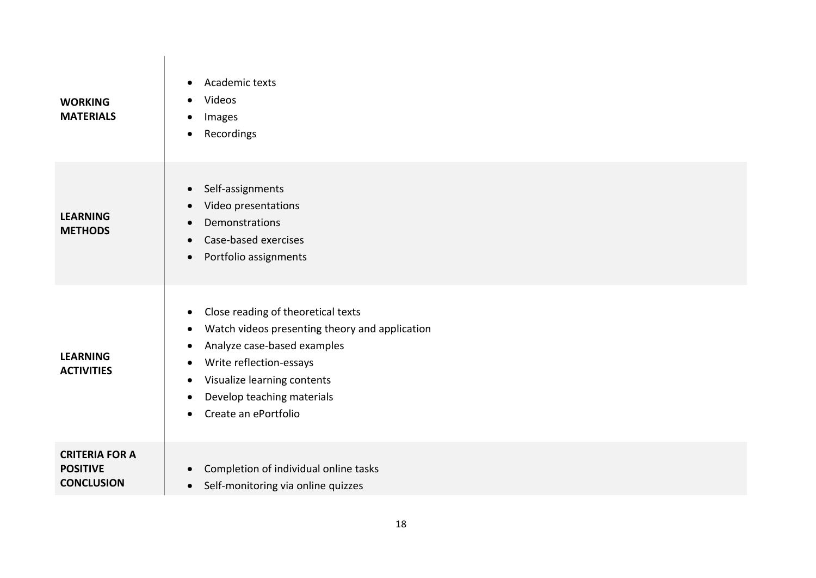| <b>WORKING</b><br><b>MATERIALS</b>                            | Academic texts<br>$\bullet$<br>Videos<br>Images<br>Recordings<br>$\bullet$                                                                                                                                                                                                                                        |
|---------------------------------------------------------------|-------------------------------------------------------------------------------------------------------------------------------------------------------------------------------------------------------------------------------------------------------------------------------------------------------------------|
| <b>LEARNING</b><br><b>METHODS</b>                             | Self-assignments<br>$\bullet$<br>Video presentations<br>$\bullet$<br>Demonstrations<br>$\bullet$<br>Case-based exercises<br>$\bullet$<br>Portfolio assignments<br>$\bullet$                                                                                                                                       |
| <b>LEARNING</b><br><b>ACTIVITIES</b>                          | Close reading of theoretical texts<br>$\bullet$<br>Watch videos presenting theory and application<br>$\bullet$<br>Analyze case-based examples<br>Write reflection-essays<br>$\bullet$<br>Visualize learning contents<br>$\bullet$<br>Develop teaching materials<br>$\bullet$<br>Create an ePortfolio<br>$\bullet$ |
| <b>CRITERIA FOR A</b><br><b>POSITIVE</b><br><b>CONCLUSION</b> | Completion of individual online tasks<br>$\bullet$<br>Self-monitoring via online quizzes<br>$\bullet$                                                                                                                                                                                                             |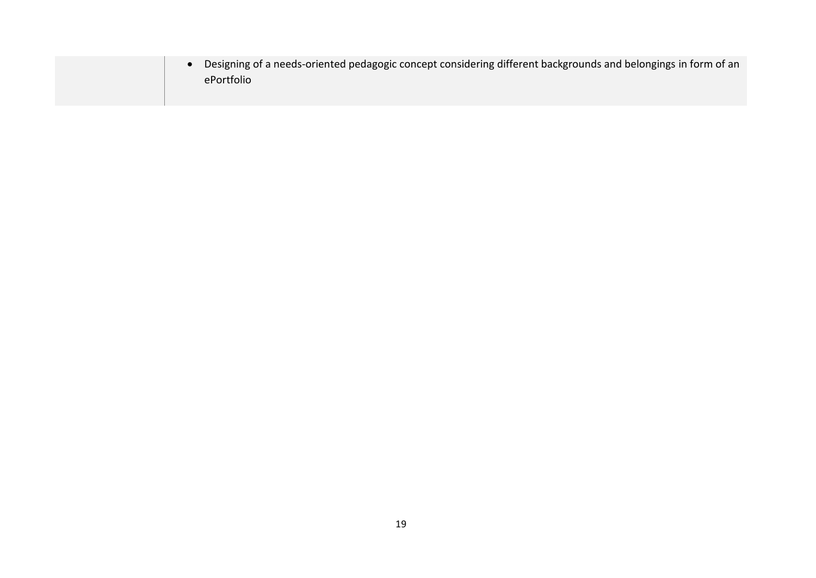| Designing of a needs-oriented pedagogic concept considering different backgrounds and belongings in form of an<br>ePortfolio |
|------------------------------------------------------------------------------------------------------------------------------|
|                                                                                                                              |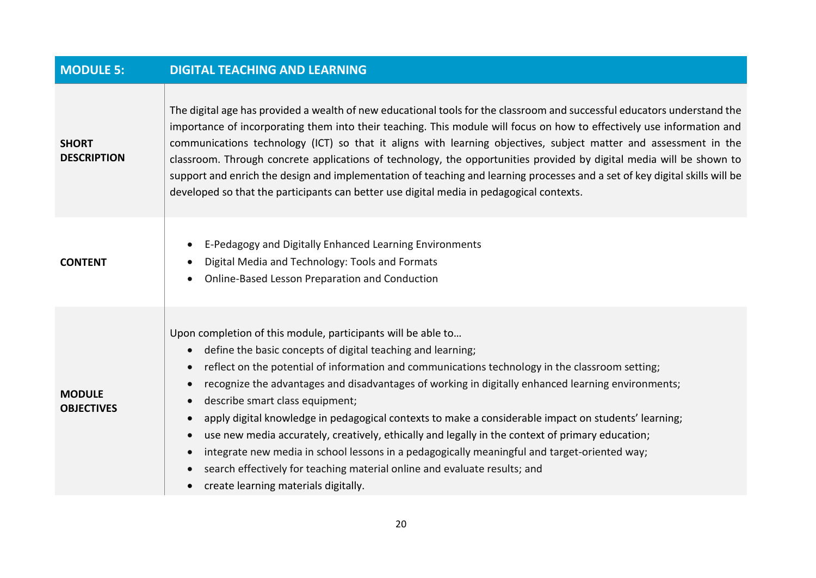| <b>MODULE 5:</b>                   | <b>DIGITAL TEACHING AND LEARNING</b>                                                                                                                                                                                                                                                                                                                                                                                                                                                                                                                                                                                                                                                                                                                                                                                                                                                                                          |
|------------------------------------|-------------------------------------------------------------------------------------------------------------------------------------------------------------------------------------------------------------------------------------------------------------------------------------------------------------------------------------------------------------------------------------------------------------------------------------------------------------------------------------------------------------------------------------------------------------------------------------------------------------------------------------------------------------------------------------------------------------------------------------------------------------------------------------------------------------------------------------------------------------------------------------------------------------------------------|
| <b>SHORT</b><br><b>DESCRIPTION</b> | The digital age has provided a wealth of new educational tools for the classroom and successful educators understand the<br>importance of incorporating them into their teaching. This module will focus on how to effectively use information and<br>communications technology (ICT) so that it aligns with learning objectives, subject matter and assessment in the<br>classroom. Through concrete applications of technology, the opportunities provided by digital media will be shown to<br>support and enrich the design and implementation of teaching and learning processes and a set of key digital skills will be<br>developed so that the participants can better use digital media in pedagogical contexts.                                                                                                                                                                                                     |
| <b>CONTENT</b>                     | E-Pedagogy and Digitally Enhanced Learning Environments<br>$\bullet$<br>Digital Media and Technology: Tools and Formats<br>Online-Based Lesson Preparation and Conduction<br>$\bullet$                                                                                                                                                                                                                                                                                                                                                                                                                                                                                                                                                                                                                                                                                                                                        |
| <b>MODULE</b><br><b>OBJECTIVES</b> | Upon completion of this module, participants will be able to<br>define the basic concepts of digital teaching and learning;<br>$\bullet$<br>reflect on the potential of information and communications technology in the classroom setting;<br>$\bullet$<br>recognize the advantages and disadvantages of working in digitally enhanced learning environments;<br>$\bullet$<br>describe smart class equipment;<br>$\bullet$<br>apply digital knowledge in pedagogical contexts to make a considerable impact on students' learning;<br>$\bullet$<br>use new media accurately, creatively, ethically and legally in the context of primary education;<br>$\bullet$<br>integrate new media in school lessons in a pedagogically meaningful and target-oriented way;<br>$\bullet$<br>search effectively for teaching material online and evaluate results; and<br>$\bullet$<br>create learning materials digitally.<br>$\bullet$ |